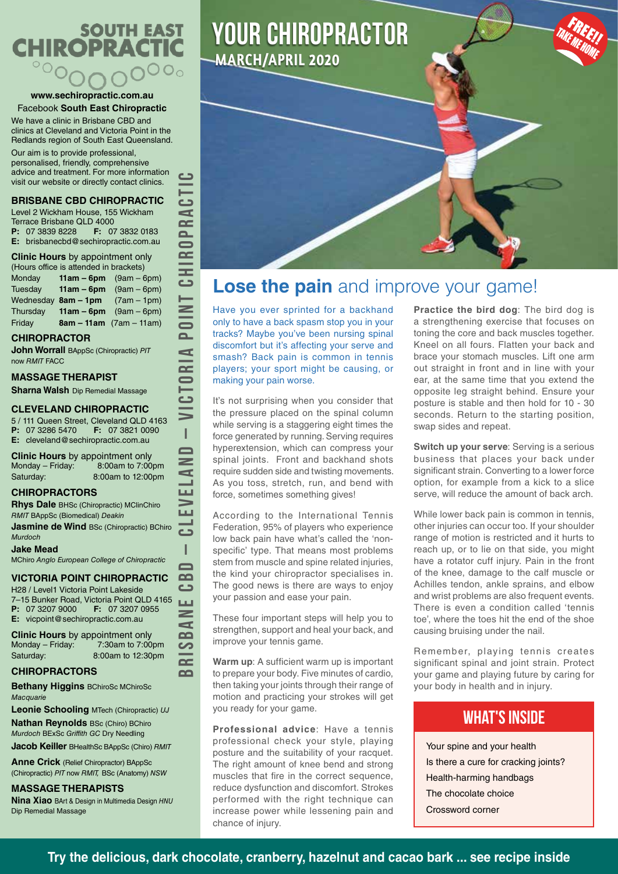# **SOUTH EAST CHIROPRACTI**  $\overline{\circ}$

#### **www.sechiropractic.com.au** Facebook **South East Chiropractic**

We have a clinic in Brisbane CBD and clinics at Cleveland and Victoria Point in the Redlands region of South East Queensland.

Our aim is to provide professional, personalised, friendly, comprehensive advice and treatment. For more information visit our website or directly contact clinics.

### **BRISBANE CBD CHIROPRACTIC**

Level 2 Wickham House, 155 Wickham Terrace Brisbane QLD 4000<br>**P**: 07 3839 8228 **F:** 07 **P:** 07 3839 8228 **F:** 07 3832 0183 **E:** brisbanecbd@sechiropractic.com.au

**Clinic Hours** by appointment only

| (Hours office is attended in brackets) |  |                                     |  |  |  |  |  |
|----------------------------------------|--|-------------------------------------|--|--|--|--|--|
| Monday                                 |  | <b>11am – 6pm</b> $(9am - 6pm)$     |  |  |  |  |  |
| Tuesdav                                |  | <b>11am – 6pm</b> $(9am - 6pm)$     |  |  |  |  |  |
|                                        |  | Wednesday $8am - 1pm$ (7am $-1pm$ ) |  |  |  |  |  |
| Thursday                               |  | <b>11am – 6pm</b> $(9am - 6pm)$     |  |  |  |  |  |
| Friday                                 |  | $8am - 11am$ (7am – 11am)           |  |  |  |  |  |

#### **CHIROPRACTOR**

**John Worrall** BAppSc (Chiropractic) *PIT* now *RMIT* FACC

### **MASSAGE THERAPIST**

**Sharna Walsh** Dip Remedial Massage

#### **CLEVELAND CHIROPRACTIC**

5 / 111 Queen Street, Cleveland QLD 4163 **P:** 07 3286 5470 **F:** 07 3821 0090 **E:** cleveland@sechiropractic.com.au

**BRISBANE CBD – CLEVELAND – VICTORIA POINT CHIROPRACTIC**

I  $\blacksquare$  $\geq$ d ш t e f ت I  $\overline{\phantom{0}}$  $\Omega$ ت Щ  $\geq$  $\blacktriangleleft$  $\Omega$ ပာ  $\sim$  $\sim$ 

 $\epsilon$ 

đ  $\overline{\mathbf{C}}$  $\overline{\mathbf{a}}$  $\blacksquare$  $\approx$ UHD<br>O

POINT

Þ  $\overline{\mathbf{r}}$ 

**Clinic Hours** by appointment only<br>Monday – Friday: 8:00am to 7:00pm  $Monday - Friday:$ Saturday: 8:00am to 12:00pm

### **CHIROPRACTORS**

**Rhys Dale** BHSc (Chiropractic) MClinChiro *RMIT* BAppSc (Biomedical) *Deakin*

**Jasmine de Wind BSc (Chiropractic) BChiro** *Murdoch*

#### **Jake Mead**

MChiro *Anglo European College of Chiropractic*

### **VICTORIA POINT CHIROPRACTIC**

H28 / Level1 Victoria Point Lakeside 7–15 Bunker Road, Victoria Point QLD 4165<br>**P:** 07 3207 9000 **F:** 07 3207 0955 **F:** 07 3207 0955 **E:** vicpoint@sechiropractic.com.au

**Clinic Hours** by appointment only<br>Monday – Friday: 7:30am to 7:00 7:30am to 7:00pm Saturday: 8:00am to 12:30pm

### **CHIROPRACTORS**

**Bethany Higgins** BChiroSc MChiroSc *Macquarie*

**Leonie Schooling** MTech (Chiropractic) *UJ* **Nathan Reynolds** BSc (Chiro) BChiro *Murdoch* BExSc *Griffith GC* Dry Needling

**Jacob Keiller** BHealthSc BAppSc (Chiro) *RMIT*

**Anne Crick** (Relief Chiropractor) BAppSc (Chiropractic) *PIT* now *RMIT,* BSc (Anatomy) *NSW*

### **MASSAGE THERAPISTS**

**Nina Xiao** BArt & Design in Multimedia Design *HNU* Dip Remedial Massage





### **Lose the pain** and improve your game!

Have you ever sprinted for a backhand only to have a back spasm stop you in your tracks? Maybe you've been nursing spinal discomfort but it's affecting your serve and smash? Back pain is common in tennis players; your sport might be causing, or making your pain worse.

It's not surprising when you consider that the pressure placed on the spinal column while serving is a staggering eight times the force generated by running. Serving requires hyperextension, which can compress your spinal joints. Front and backhand shots require sudden side and twisting movements. As you toss, stretch, run, and bend with force, sometimes something gives!

According to the International Tennis Federation, 95% of players who experience low back pain have what's called the 'nonspecific' type. That means most problems stem from muscle and spine related injuries, the kind your chiropractor specialises in. The good news is there are ways to enjoy your passion and ease your pain.

These four important steps will help you to strengthen, support and heal your back, and improve your tennis game.

**Warm up**: A sufficient warm up is important to prepare your body. Five minutes of cardio, then taking your joints through their range of motion and practicing your strokes will get you ready for your game.

**Professional advice**: Have a tennis professional check your style, playing posture and the suitability of your racquet. The right amount of knee bend and strong muscles that fire in the correct sequence, reduce dysfunction and discomfort. Strokes performed with the right technique can increase power while lessening pain and chance of injury.

**Practice the bird dog**: The bird dog is a strengthening exercise that focuses on toning the core and back muscles together. Kneel on all fours. Flatten your back and brace your stomach muscles. Lift one arm out straight in front and in line with your ear, at the same time that you extend the opposite leg straight behind. Ensure your posture is stable and then hold for 10 - 30 seconds. Return to the starting position, swap sides and repeat.

**FREE!!**<br>EMERI

**Switch up your serve**: Serving is a serious business that places your back under significant strain. Converting to a lower force option, for example from a kick to a slice serve, will reduce the amount of back arch.

While lower back pain is common in tennis, other injuries can occur too. If your shoulder range of motion is restricted and it hurts to reach up, or to lie on that side, you might have a rotator cuff injury. Pain in the front of the knee, damage to the calf muscle or Achilles tendon, ankle sprains, and elbow and wrist problems are also frequent events. There is even a condition called 'tennis toe', where the toes hit the end of the shoe causing bruising under the nail.

Remember, playing tennis creates significant spinal and joint strain. Protect your game and playing future by caring for your body in health and in injury.

### WHAT'S INSIDE

Your spine and your health Is there a cure for cracking joints? Health-harming handbags The chocolate choice Crossword corner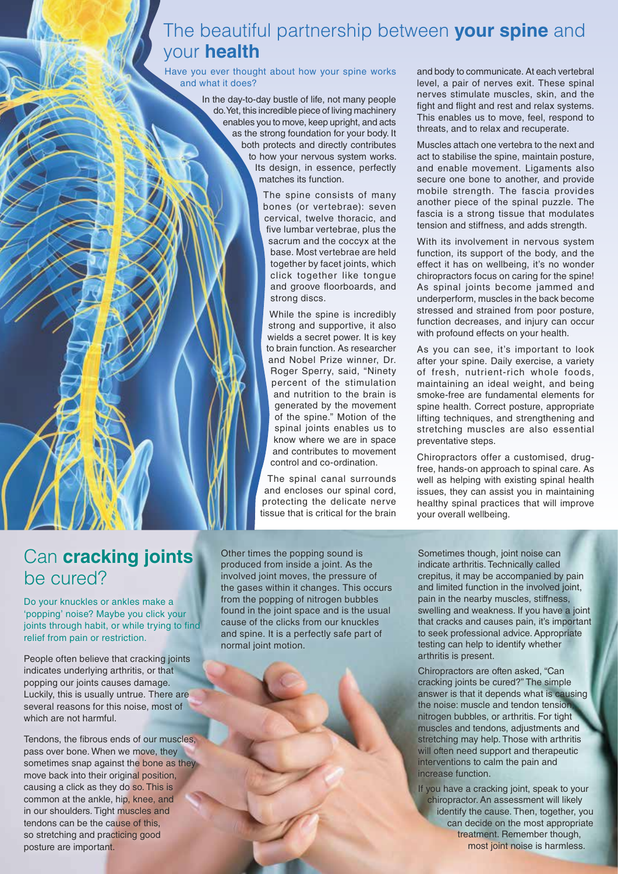# The beautiful partnership between **your spine** and your **health**

Have you ever thought about how your spine works and what it does?

> In the day-to-day bustle of life, not many people do. Yet, this incredible piece of living machinery enables you to move, keep upright, and acts as the strong foundation for your body. It both protects and directly contributes to how your nervous system works. Its design, in essence, perfectly matches its function.

> > The spine consists of many bones (or vertebrae): seven cervical, twelve thoracic, and five lumbar vertebrae, plus the sacrum and the coccyx at the base. Most vertebrae are held together by facet joints, which click together like tongue and groove floorboards, and strong discs.

While the spine is incredibly strong and supportive, it also wields a secret power. It is key to brain function. As researcher and Nobel Prize winner, Dr. Roger Sperry, said, "Ninety percent of the stimulation and nutrition to the brain is generated by the movement of the spine." Motion of the spinal joints enables us to know where we are in space and contributes to movement control and co-ordination.

The spinal canal surrounds and encloses our spinal cord, protecting the delicate nerve tissue that is critical for the brain and body to communicate. At each vertebral level, a pair of nerves exit. These spinal nerves stimulate muscles, skin, and the fight and flight and rest and relax systems. This enables us to move, feel, respond to threats, and to relax and recuperate.

Muscles attach one vertebra to the next and act to stabilise the spine, maintain posture, and enable movement. Ligaments also secure one bone to another, and provide mobile strength. The fascia provides another piece of the spinal puzzle. The fascia is a strong tissue that modulates tension and stiffness, and adds strength.

With its involvement in nervous system function, its support of the body, and the effect it has on wellbeing, it's no wonder chiropractors focus on caring for the spine! As spinal joints become jammed and underperform, muscles in the back become stressed and strained from poor posture, function decreases, and injury can occur with profound effects on your health.

As you can see, it's important to look after your spine. Daily exercise, a variety of fresh, nutrient-rich whole foods, maintaining an ideal weight, and being smoke-free are fundamental elements for spine health. Correct posture, appropriate lifting techniques, and strengthening and stretching muscles are also essential preventative steps.

Chiropractors offer a customised, drugfree, hands-on approach to spinal care. As well as helping with existing spinal health issues, they can assist you in maintaining healthy spinal practices that will improve your overall wellbeing.

# Can **cracking joints**  be cured?

Do your knuckles or ankles make a 'popping' noise? Maybe you click your joints through habit, or while trying to find relief from pain or restriction.

People often believe that cracking joints indicates underlying arthritis, or that popping our joints causes damage. Luckily, this is usually untrue. There are several reasons for this noise, most of which are not harmful.

Tendons, the fibrous ends of our muscles, pass over bone. When we move, they sometimes snap against the bone as they move back into their original position. causing a click as they do so. This is common at the ankle, hip, knee, and in our shoulders. Tight muscles and tendons can be the cause of this, so stretching and practicing good posture are important.

Other times the popping sound is produced from inside a joint. As the involved joint moves, the pressure of the gases within it changes. This occurs from the popping of nitrogen bubbles found in the joint space and is the usual cause of the clicks from our knuckles and spine. It is a perfectly safe part of normal joint motion.

Sometimes though, joint noise can indicate arthritis. Technically called crepitus, it may be accompanied by pain and limited function in the involved joint, pain in the nearby muscles, stiffness, swelling and weakness. If you have a joint that cracks and causes pain, it's important to seek professional advice. Appropriate testing can help to identify whether arthritis is present.

Chiropractors are often asked, "Can cracking joints be cured?" The simple answer is that it depends what is causing the noise: muscle and tendon tension, nitrogen bubbles, or arthritis. For tight muscles and tendons, adjustments and stretching may help. Those with arthritis will often need support and therapeutic interventions to calm the pain and increase function.

If you have a cracking joint, speak to your chiropractor. An assessment will likely identify the cause. Then, together, you can decide on the most appropriate treatment. Remember though, most joint noise is harmless.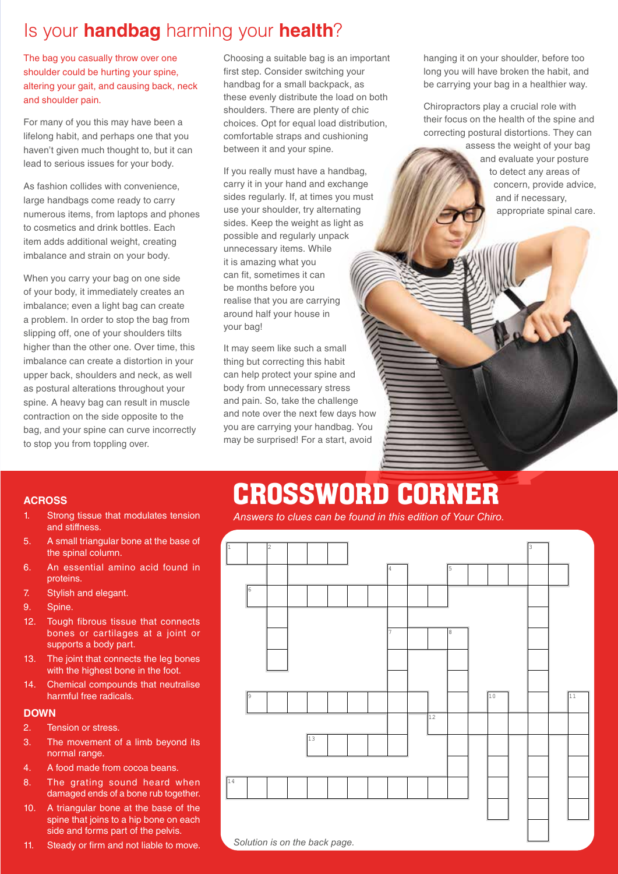# Is your **handbag** harming your **health**?

The bag you casually throw over one shoulder could be hurting your spine, altering your gait, and causing back, neck and shoulder pain.

For many of you this may have been a lifelong habit, and perhaps one that you haven't given much thought to, but it can lead to serious issues for your body.

As fashion collides with convenience, large handbags come ready to carry numerous items, from laptops and phones to cosmetics and drink bottles. Each item adds additional weight, creating imbalance and strain on your body.

When you carry your bag on one side of your body, it immediately creates an imbalance; even a light bag can create a problem. In order to stop the bag from slipping off, one of your shoulders tilts higher than the other one. Over time, this imbalance can create a distortion in your upper back, shoulders and neck, as well as postural alterations throughout your spine. A heavy bag can result in muscle contraction on the side opposite to the bag, and your spine can curve incorrectly to stop you from toppling over.

Choosing a suitable bag is an important first step. Consider switching your handbag for a small backpack, as these evenly distribute the load on both shoulders. There are plenty of chic choices. Opt for equal load distribution, comfortable straps and cushioning between it and your spine.

If you really must have a handbag, carry it in your hand and exchange sides regularly. If, at times you must use your shoulder, try alternating sides. Keep the weight as light as possible and regularly unpack unnecessary items. While it is amazing what you can fit, sometimes it can be months before you realise that you are carrying around half your house in your bag!

It may seem like such a small thing but correcting this habit can help protect your spine and body from unnecessary stress and pain. So, take the challenge and note over the next few days how you are carrying your handbag. You may be surprised! For a start, avoid

hanging it on your shoulder, before too long you will have broken the habit, and be carrying your bag in a healthier way.

Chiropractors play a crucial role with their focus on the health of the spine and correcting postural distortions. They can

assess the weight of your bag and evaluate your posture to detect any areas of concern, provide advice, and if necessary, appropriate spinal care.

# CROSSWORD CORNER

*Answers to clues can be found in this edition of Your Chiro.*

| $\vert$ 1 |                               | $\sqrt{2}$ |  |                 |  |  |    |   |         |            |             |  | 3 |    |
|-----------|-------------------------------|------------|--|-----------------|--|--|----|---|---------|------------|-------------|--|---|----|
|           |                               |            |  |                 |  |  |    | 4 |         | $\sqrt{5}$ |             |  |   |    |
|           | $\sqrt{6}$                    |            |  |                 |  |  |    |   |         |            |             |  |   |    |
|           |                               |            |  |                 |  |  |    |   |         |            |             |  |   |    |
|           |                               |            |  |                 |  |  | l7 |   | $\,8\,$ |            |             |  |   |    |
|           |                               |            |  |                 |  |  |    |   |         |            |             |  |   |    |
|           |                               |            |  |                 |  |  |    |   |         |            |             |  |   |    |
|           | p.                            |            |  |                 |  |  |    |   |         |            | $\sqrt{10}$ |  |   | 11 |
|           |                               |            |  |                 |  |  |    |   | 12      |            |             |  |   |    |
|           |                               |            |  | $\overline{13}$ |  |  |    |   |         |            |             |  |   |    |
|           |                               |            |  |                 |  |  |    |   |         |            |             |  |   |    |
| 14        |                               |            |  |                 |  |  |    |   |         |            |             |  |   |    |
|           |                               |            |  |                 |  |  |    |   |         |            |             |  |   |    |
|           |                               |            |  |                 |  |  |    |   |         |            |             |  |   |    |
|           | Solution is on the back page. |            |  |                 |  |  |    |   |         |            |             |  |   |    |

### **ACROSS**

- 1. Strong tissue that modulates tension and stiffness.
- 5. A small triangular bone at the base of the spinal column.
- 6. An essential amino acid found in proteins.
- 7. Stylish and elegant.
- 9. Spine.
- 12. Tough fibrous tissue that connects bones or cartilages at a joint or supports a body part.
- 13. The joint that connects the leg bones with the highest bone in the foot.
- 14. Chemical compounds that neutralise harmful free radicals.

### **DOWN**

- 2. Tension or stress.
- 3. The movement of a limb beyond its normal range.
- 4. A food made from cocoa beans.
- 8. The grating sound heard when damaged ends of a bone rub together.
- 10. A triangular bone at the base of the spine that joins to a hip bone on each side and forms part of the pelvis.
- 11. Steady or firm and not liable to move.